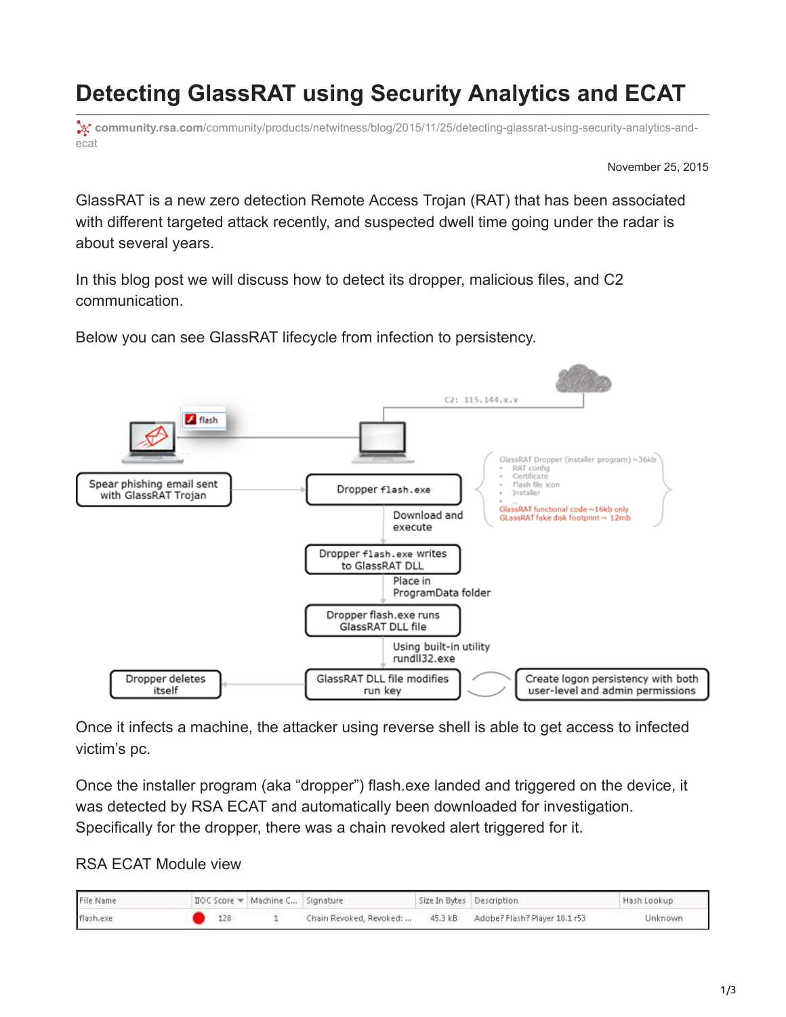## **Detecting GlassRAT using Security Analytics and ECAT**

**x**: community.rsa.com[/community/products/netwitness/blog/2015/11/25/detecting-glassrat-using-security-analytics-and](https://community.rsa.com/community/products/netwitness/blog/2015/11/25/detecting-glassrat-using-security-analytics-and-ecat)ecat

November 25, 2015

GlassRAT is a new zero detection Remote Access Trojan (RAT) that has been associated with different targeted attack recently, and suspected dwell time going under the radar is about several years.

In this blog post we will discuss how to detect its dropper, malicious files, and C2 communication.

Below you can see GlassRAT lifecycle from infection to persistency.



Once it infects a machine, the attacker using reverse shell is able to get access to infected victim's pc.

Once the installer program (aka "dropper") flash.exe landed and triggered on the device, it was detected by RSA ECAT and automatically been downloaded for investigation. Specifically for the dropper, there was a chain revoked alert triggered for it.

RSA ECAT Module view

| File Name | ∏OC Score = Machine C Signature |                         |         | Size In Bytes Description     | Hash Lookup |
|-----------|---------------------------------|-------------------------|---------|-------------------------------|-------------|
| flash.exe | 128                             | Chain Revoked, Revoked: | 45.3 kB | Adobe? Flash? Player 10.1 r53 | Unknown     |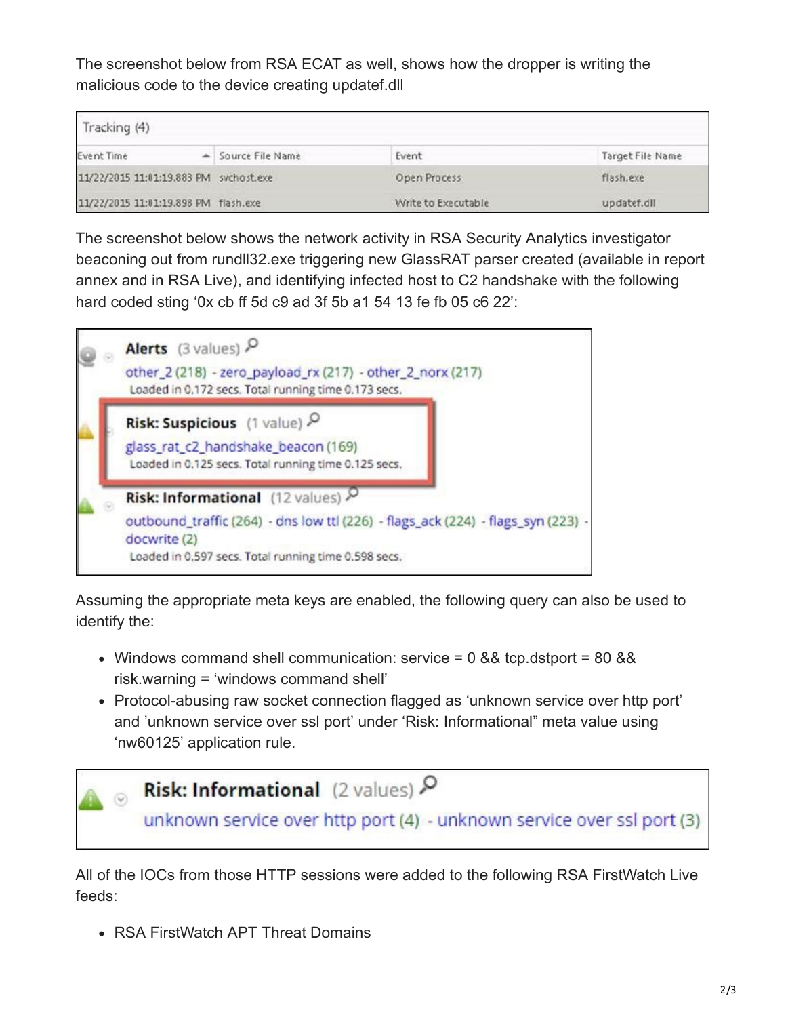The screenshot below from RSA ECAT as well, shows how the dropper is writing the malicious code to the device creating updatef.dll

| Tracking (4)                           |                    |                     |                  |  |  |  |
|----------------------------------------|--------------------|---------------------|------------------|--|--|--|
| Event Time                             | - Source File Name | Event               | Target File Name |  |  |  |
| 11/22/2015 11:01:19.883 PM svchost.exe |                    | Open Process        | flash.exe        |  |  |  |
| 11/22/2015 11:01:19.898 PM flash.exe   |                    | Write to Executable | updatef.dll      |  |  |  |

The screenshot below shows the network activity in RSA Security Analytics investigator beaconing out from rundll32.exe triggering new GlassRAT parser created (available in report annex and in RSA Live), and identifying infected host to C2 handshake with the following hard coded sting '0x cb ff 5d c9 ad 3f 5b a1 54 13 fe fb 05 c6 22':



Assuming the appropriate meta keys are enabled, the following query can also be used to identify the:

- Windows command shell communication: service =  $0.88$  tcp.dstport =  $80.88$ risk.warning = 'windows command shell'
- Protocol-abusing raw socket connection flagged as 'unknown service over http port' and 'unknown service over ssl port' under 'Risk: Informational" meta value using 'nw60125' application rule.



All of the IOCs from those HTTP sessions were added to the following RSA FirstWatch Live feeds:

RSA FirstWatch APT Threat Domains